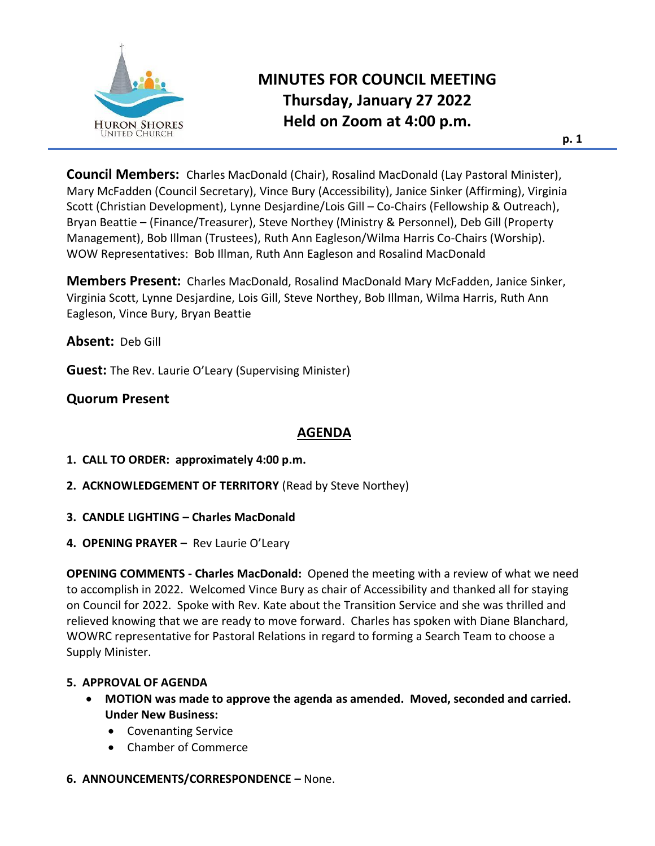

# **MINUTES FOR COUNCIL MEETING Thursday, January 27 2022 Held on Zoom at 4:00 p.m.**

**Council Members:** Charles MacDonald (Chair), Rosalind MacDonald (Lay Pastoral Minister), Mary McFadden (Council Secretary), Vince Bury (Accessibility), Janice Sinker (Affirming), Virginia Scott (Christian Development), Lynne Desjardine/Lois Gill – Co-Chairs (Fellowship & Outreach), Bryan Beattie – (Finance/Treasurer), Steve Northey (Ministry & Personnel), Deb Gill (Property Management), Bob Illman (Trustees), Ruth Ann Eagleson/Wilma Harris Co-Chairs (Worship). WOW Representatives: Bob Illman, Ruth Ann Eagleson and Rosalind MacDonald

**Members Present:** Charles MacDonald, Rosalind MacDonald Mary McFadden, Janice Sinker, Virginia Scott, Lynne Desjardine, Lois Gill, Steve Northey, Bob Illman, Wilma Harris, Ruth Ann Eagleson, Vince Bury, Bryan Beattie

**Absent:** Deb Gill

**Guest:** The Rev. Laurie O'Leary (Supervising Minister)

# **Quorum Present**

## **AGENDA**

- **1. CALL TO ORDER: approximately 4:00 p.m.**
- **2. ACKNOWLEDGEMENT OF TERRITORY** (Read by Steve Northey)
- **3. CANDLE LIGHTING – Charles MacDonald**
- **4. OPENING PRAYER –** Rev Laurie O'Leary

**OPENING COMMENTS - Charles MacDonald:** Opened the meeting with a review of what we need to accomplish in 2022. Welcomed Vince Bury as chair of Accessibility and thanked all for staying on Council for 2022. Spoke with Rev. Kate about the Transition Service and she was thrilled and relieved knowing that we are ready to move forward. Charles has spoken with Diane Blanchard, WOWRC representative for Pastoral Relations in regard to forming a Search Team to choose a Supply Minister.

#### **5. APPROVAL OF AGENDA**

- **MOTION was made to approve the agenda as amended. Moved, seconded and carried. Under New Business:**
	- Covenanting Service
	- Chamber of Commerce

#### **6. ANNOUNCEMENTS/CORRESPONDENCE –** None.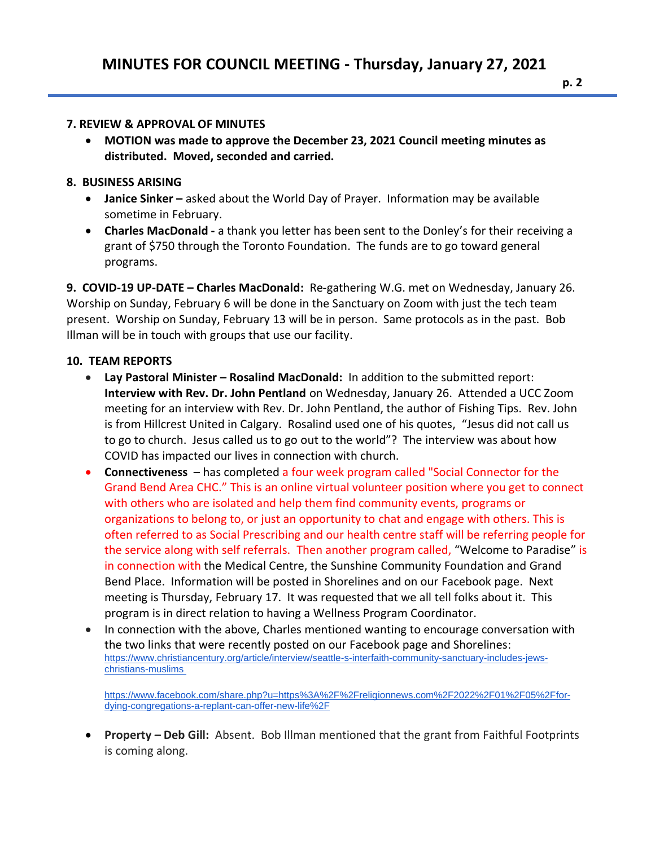#### **7. REVIEW & APPROVAL OF MINUTES**

• **MOTION was made to approve the December 23, 2021 Council meeting minutes as distributed. Moved, seconded and carried.**

## **8. BUSINESS ARISING**

- **Janice Sinker –** asked about the World Day of Prayer. Information may be available sometime in February.
- **Charles MacDonald -** a thank you letter has been sent to the Donley's for their receiving a grant of \$750 through the Toronto Foundation. The funds are to go toward general programs.

**9. COVID-19 UP-DATE – Charles MacDonald:** Re-gathering W.G. met on Wednesday, January 26. Worship on Sunday, February 6 will be done in the Sanctuary on Zoom with just the tech team present. Worship on Sunday, February 13 will be in person. Same protocols as in the past. Bob Illman will be in touch with groups that use our facility.

### **10. TEAM REPORTS**

- **Lay Pastoral Minister – Rosalind MacDonald:** In addition to the submitted report: **Interview with Rev. Dr. John Pentland** on Wednesday, January 26. Attended a UCC Zoom meeting for an interview with Rev. Dr. John Pentland, the author of Fishing Tips. Rev. John is from Hillcrest United in Calgary. Rosalind used one of his quotes, "Jesus did not call us to go to church. Jesus called us to go out to the world"? The interview was about how COVID has impacted our lives in connection with church.
- **Connectiveness**  has completed a four week program called "Social Connector for the Grand Bend Area CHC." This is an online virtual volunteer position where you get to connect with others who are isolated and help them find community events, programs or organizations to belong to, or just an opportunity to chat and engage with others. This is often referred to as Social Prescribing and our health centre staff will be referring people for the service along with self referrals. Then another program called, "Welcome to Paradise" is in connection with the Medical Centre, the Sunshine Community Foundation and Grand Bend Place. Information will be posted in Shorelines and on our Facebook page. Next meeting is Thursday, February 17. It was requested that we all tell folks about it. This program is in direct relation to having a Wellness Program Coordinator.
- In connection with the above, Charles mentioned wanting to encourage conversation with the two links that were recently posted on our Facebook page and Shorelines: [https://www.christiancentury.org/article/interview/seattle-s-interfaith-community-sanctuary-includes-jews](https://www.christiancentury.org/article/interview/seattle-s-interfaith-community-sanctuary-includes-jews-christians-muslims)[christians-muslims](https://www.christiancentury.org/article/interview/seattle-s-interfaith-community-sanctuary-includes-jews-christians-muslims)

[https://www.facebook.com/share.php?u=https%3A%2F%2Freligionnews.com%2F2022%2F01%2F05%2Ffor](https://www.facebook.com/share.php?u=https%3A%2F%2Freligionnews.com%2F2022%2F01%2F05%2Ffor-dying-congregations-a-replant-can-offer-new-life%2F)[dying-congregations-a-replant-can-offer-new-life%2F](https://www.facebook.com/share.php?u=https%3A%2F%2Freligionnews.com%2F2022%2F01%2F05%2Ffor-dying-congregations-a-replant-can-offer-new-life%2F)

• **Property – Deb Gill:** Absent. Bob Illman mentioned that the grant from Faithful Footprints is coming along.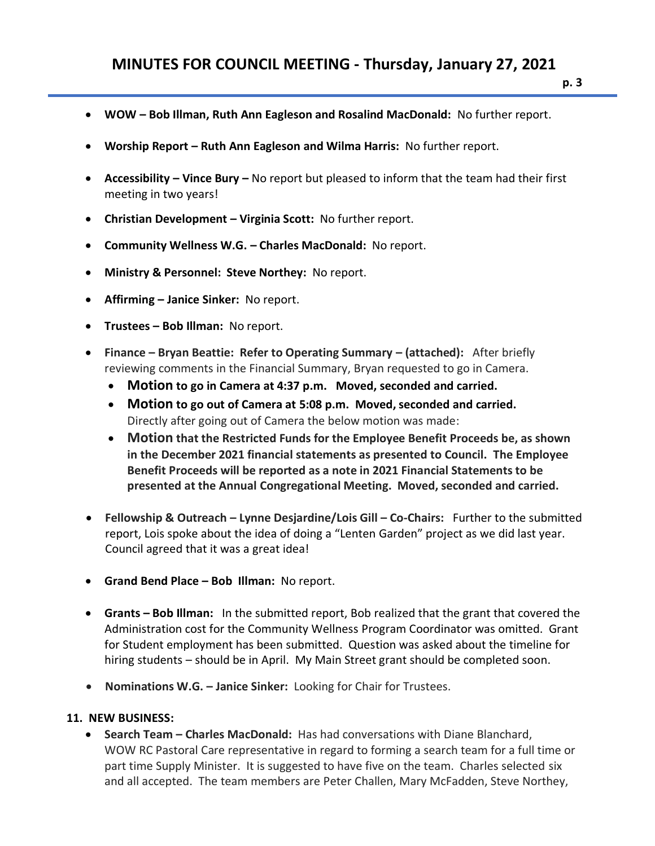- **WOW – Bob Illman, Ruth Ann Eagleson and Rosalind MacDonald:** No further report.
- **Worship Report – Ruth Ann Eagleson and Wilma Harris:** No further report.
- **Accessibility – Vince Bury –** No report but pleased to inform that the team had their first meeting in two years!
- **Christian Development – Virginia Scott:** No further report.
- **Community Wellness W.G. – Charles MacDonald:** No report.
- **Ministry & Personnel: Steve Northey:** No report.
- **Affirming – Janice Sinker:** No report.
- **Trustees – Bob Illman:** No report.
- **Finance – Bryan Beattie: Refer to Operating Summary – (attached):** After briefly reviewing comments in the Financial Summary, Bryan requested to go in Camera.
	- **Motion to go in Camera at 4:37 p.m. Moved, seconded and carried.**
	- **Motion to go out of Camera at 5:08 p.m. Moved, seconded and carried.** Directly after going out of Camera the below motion was made:
	- **Motion that the Restricted Funds for the Employee Benefit Proceeds be, as shown in the December 2021 financial statements as presented to Council. The Employee Benefit Proceeds will be reported as a note in 2021 Financial Statements to be presented at the Annual Congregational Meeting. Moved, seconded and carried.**
- **Fellowship & Outreach – Lynne Desjardine/Lois Gill – Co-Chairs:** Further to the submitted report, Lois spoke about the idea of doing a "Lenten Garden" project as we did last year. Council agreed that it was a great idea!
- **Grand Bend Place – Bob Illman:** No report.
- **Grants – Bob Illman:** In the submitted report, Bob realized that the grant that covered the Administration cost for the Community Wellness Program Coordinator was omitted. Grant for Student employment has been submitted. Question was asked about the timeline for hiring students – should be in April. My Main Street grant should be completed soon.
- **Nominations W.G. – Janice Sinker:** Looking for Chair for Trustees.

#### **11. NEW BUSINESS:**

• **Search Team – Charles MacDonald:** Has had conversations with Diane Blanchard, WOW RC Pastoral Care representative in regard to forming a search team for a full time or part time Supply Minister. It is suggested to have five on the team. Charles selected six and all accepted. The team members are Peter Challen, Mary McFadden, Steve Northey,